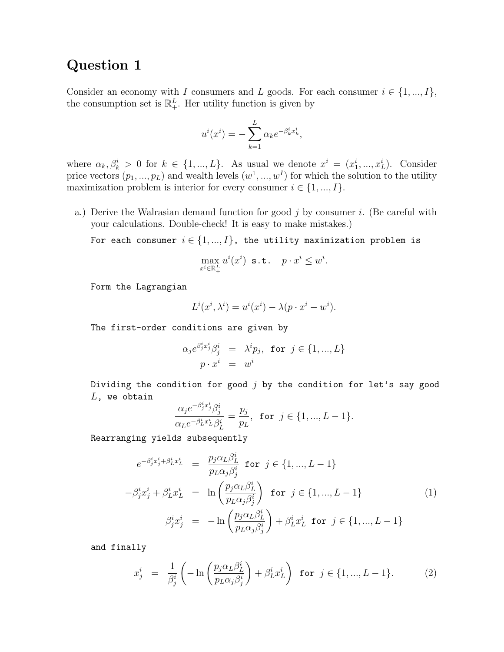## Question 1

Consider an economy with I consumers and L goods. For each consumer  $i \in \{1, ..., I\}$ , the consumption set is  $\mathbb{R}^L_+$ . Her utility function is given by

$$
u^{i}(x^{i}) = -\sum_{k=1}^{L} \alpha_{k} e^{-\beta_{k}^{i} x_{k}^{i}},
$$

where  $\alpha_k, \beta_k^i > 0$  for  $k \in \{1, ..., L\}$ . As usual we denote  $x^i = (x_1^i, ..., x_L^i)$ . Consider price vectors  $(p_1, ..., p_L)$  and wealth levels  $(w^1, ..., w^I)$  for which the solution to the utility maximization problem is interior for every consumer  $i \in \{1, ..., I\}$ .

a.) Derive the Walrasian demand function for good  $j$  by consumer  $i$ . (Be careful with your calculations. Double-check! It is easy to make mistakes.)

For each consumer  $i \in \{1,...,I\}$ , the utility maximization problem is

$$
\max_{x^i \in \mathbb{R}_+^L} u^i(x^i) \text{ s.t. } p \cdot x^i \leq w^i.
$$

Form the Lagrangian

$$
L^{i}(x^{i}, \lambda^{i}) = u^{i}(x^{i}) - \lambda (p \cdot x^{i} - w^{i}).
$$

The first-order conditions are given by

$$
\alpha_j e^{\beta_j^i x_j^i} \beta_j^i = \lambda^i p_j, \text{ for } j \in \{1, ..., L\}
$$
  

$$
p \cdot x^i = w^i
$$

Dividing the condition for good  $j$  by the condition for let's say good  $L$ , we obtain

$$
\frac{\alpha_j e^{-\beta_j^i x_j^i}\beta_j^i}{\alpha_L e^{-\beta_L^i x_L^i}\beta_L^i}=\frac{p_j}{p_L}, \text{ for } j\in\{1,...,L-1\}.
$$

Rearranging yields subsequently

$$
e^{-\beta_j^i x_j^i + \beta_L^i x_L^i} = \frac{p_j \alpha_L \beta_L^i}{p_L \alpha_j \beta_j^i} \text{ for } j \in \{1, ..., L-1\}
$$

$$
-\beta_j^i x_j^i + \beta_L^i x_L^i = \ln\left(\frac{p_j \alpha_L \beta_L^i}{p_L \alpha_j \beta_j^i}\right) \text{ for } j \in \{1, ..., L-1\}
$$
(1)
$$
\beta_j^i x_j^i = -\ln\left(\frac{p_j \alpha_L \beta_L^i}{p_L \alpha_j \beta_j^i}\right) + \beta_L^i x_L^i \text{ for } j \in \{1, ..., L-1\}
$$

and finally

$$
x_j^i = \frac{1}{\beta_j^i} \left( -\ln \left( \frac{p_j \alpha_L \beta_L^i}{p_L \alpha_j \beta_j^i} \right) + \beta_L^i x_L^i \right) \text{ for } j \in \{1, ..., L-1\}. \tag{2}
$$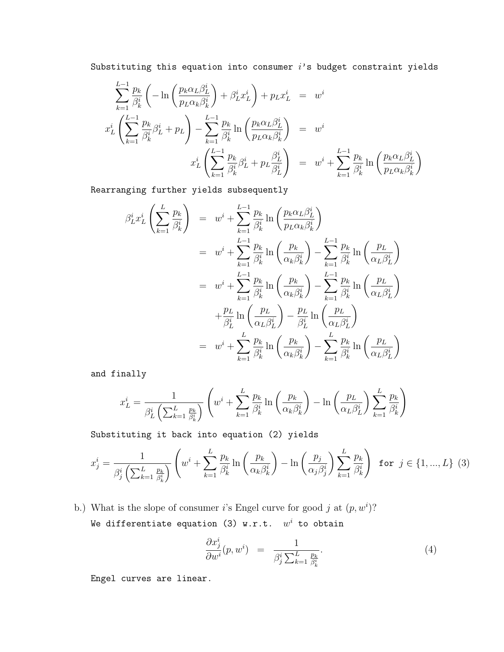Substituting this equation into consumer  $i$ 's budget constraint yields

$$
\sum_{k=1}^{L-1} \frac{p_k}{\beta_k^i} \left( -\ln \left( \frac{p_k \alpha_L \beta_L^i}{p_L \alpha_k \beta_k^i} \right) + \beta_L^i x_L^i \right) + p_L x_L^i = w^i
$$
  

$$
x_L^i \left( \sum_{k=1}^{L-1} \frac{p_k}{\beta_k^i} \beta_L^i + p_L \right) - \sum_{k=1}^{L-1} \frac{p_k}{\beta_k^i} \ln \left( \frac{p_k \alpha_L \beta_L^i}{p_L \alpha_k \beta_k^i} \right) = w^i
$$
  

$$
x_L^i \left( \sum_{k=1}^{L-1} \frac{p_k}{\beta_k^i} \beta_L^i + p_L \frac{\beta_L^i}{\beta_L^i} \right) = w^i + \sum_{k=1}^{L-1} \frac{p_k}{\beta_k^i} \ln \left( \frac{p_k \alpha_L \beta_L^i}{p_L \alpha_k \beta_k^i} \right)
$$

Rearranging further yields subsequently

$$
\beta_L^i x_L^i \left( \sum_{k=1}^L \frac{p_k}{\beta_k^i} \right) = w^i + \sum_{k=1}^{L-1} \frac{p_k}{\beta_k^i} \ln \left( \frac{p_k \alpha_L \beta_L^i}{p_L \alpha_k \beta_k^i} \right)
$$
  
\n
$$
= w^i + \sum_{k=1}^{L-1} \frac{p_k}{\beta_k^i} \ln \left( \frac{p_k}{\alpha_k \beta_k^i} \right) - \sum_{k=1}^{L-1} \frac{p_k}{\beta_k^i} \ln \left( \frac{p_L}{\alpha_L \beta_L^i} \right)
$$
  
\n
$$
= w^i + \sum_{k=1}^{L-1} \frac{p_k}{\beta_k^i} \ln \left( \frac{p_k}{\alpha_k \beta_k^i} \right) - \sum_{k=1}^{L-1} \frac{p_k}{\beta_k^i} \ln \left( \frac{p_L}{\alpha_L \beta_L^i} \right)
$$
  
\n
$$
+ \frac{p_L}{\beta_L^i} \ln \left( \frac{p_L}{\alpha_L \beta_L^i} \right) - \frac{p_L}{\beta_L^i} \ln \left( \frac{p_L}{\alpha_L \beta_L^i} \right)
$$
  
\n
$$
= w^i + \sum_{k=1}^{L} \frac{p_k}{\beta_k^i} \ln \left( \frac{p_k}{\alpha_k \beta_k^i} \right) - \sum_{k=1}^{L} \frac{p_k}{\beta_k^i} \ln \left( \frac{p_L}{\alpha_L \beta_L^i} \right)
$$

and finally

$$
x_L^i = \frac{1}{\beta_L^i \left( \sum_{k=1}^L \frac{p_k}{\beta_k^i} \right)} \left( w^i + \sum_{k=1}^L \frac{p_k}{\beta_k^i} \ln \left( \frac{p_k}{\alpha_k \beta_k^i} \right) - \ln \left( \frac{p_L}{\alpha_L \beta_L^i} \right) \sum_{k=1}^L \frac{p_k}{\beta_k^i} \right)
$$

Substituting it back into equation (2) yields

$$
x_j^i = \frac{1}{\beta_j^i \left(\sum_{k=1}^L \frac{p_k}{\beta_k^i}\right)} \left(w^i + \sum_{k=1}^L \frac{p_k}{\beta_k^i} \ln\left(\frac{p_k}{\alpha_k \beta_k^i}\right) - \ln\left(\frac{p_j}{\alpha_j \beta_j^i}\right) \sum_{k=1}^L \frac{p_k}{\beta_k^i}\right) \text{ for } j \in \{1, ..., L\} \tag{3}
$$

b.) What is the slope of consumer i's Engel curve for good j at  $(p, w<sup>i</sup>)$ ? We differentiate equation (3) w.r.t.  $w^i$  to obtain

$$
\frac{\partial x_j^i}{\partial w^i}(p, w^i) = \frac{1}{\beta_j^i \sum_{k=1}^L \frac{p_k}{\beta_k^i}}.
$$
\n(4)

Engel curves are linear.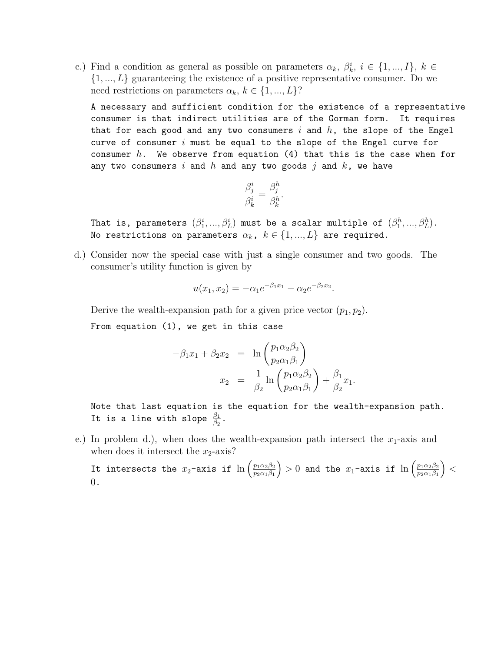c.) Find a condition as general as possible on parameters  $\alpha_k$ ,  $\beta_k^i$ ,  $i \in \{1, ..., I\}$ ,  $k \in$  $\{1, ..., L\}$  guaranteeing the existence of a positive representative consumer. Do we need restrictions on parameters  $\alpha_k, k \in \{1, ..., L\}$ ?

A necessary and sufficient condition for the existence of a representative consumer is that indirect utilities are of the Gorman form. It requires that for each good and any two consumers  $i$  and  $h$ , the slope of the Engel curve of consumer  $i$  must be equal to the slope of the Engel curve for consumer  $h$ . We observe from equation (4) that this is the case when for any two consumers  $i$  and  $h$  and any two goods  $j$  and  $k$ , we have

$$
\frac{\beta_j^i}{\beta_k^i} = \frac{\beta_j^h}{\beta_k^h}.
$$

That is, parameters  $(\beta_1^i,...,\beta_L^i)$  must be a scalar multiple of  $(\beta_1^h,...,\beta_L^h)$ . No restrictions on parameters  $\alpha_k$ ,  $k \in \{1, ..., L\}$  are required.

d.) Consider now the special case with just a single consumer and two goods. The consumer's utility function is given by

$$
u(x_1, x_2) = -\alpha_1 e^{-\beta_1 x_1} - \alpha_2 e^{-\beta_2 x_2}.
$$

Derive the wealth-expansion path for a given price vector  $(p_1, p_2)$ . From equation (1), we get in this case

$$
-\beta_1 x_1 + \beta_2 x_2 = \ln\left(\frac{p_1 \alpha_2 \beta_2}{p_2 \alpha_1 \beta_1}\right)
$$

$$
x_2 = \frac{1}{\beta_2} \ln\left(\frac{p_1 \alpha_2 \beta_2}{p_2 \alpha_1 \beta_1}\right) + \frac{\beta_1}{\beta_2} x_1.
$$

Note that last equation is the equation for the wealth-expansion path. It is a line with slope  $\frac{\beta_1}{\beta_2}$ .

e.) In problem d.), when does the wealth-expansion path intersect the  $x_1$ -axis and when does it intersect the  $x_2$ -axis?

It intersects the  $x_2$ -axis if  $\ln\left(\frac{p_1\alpha_2\beta_2}{p_0\alpha_1\beta_1}\right)$  $p_2\alpha_1\beta_1$  $\bigg\} > 0$  and the  $x_1$ -axis if  $\ln \left( \frac{p_1 \alpha_2 \beta_2}{p_2 \alpha_1 \beta_1} \right)$  $p_2\alpha_1\beta_1$  $\vert$  < 0.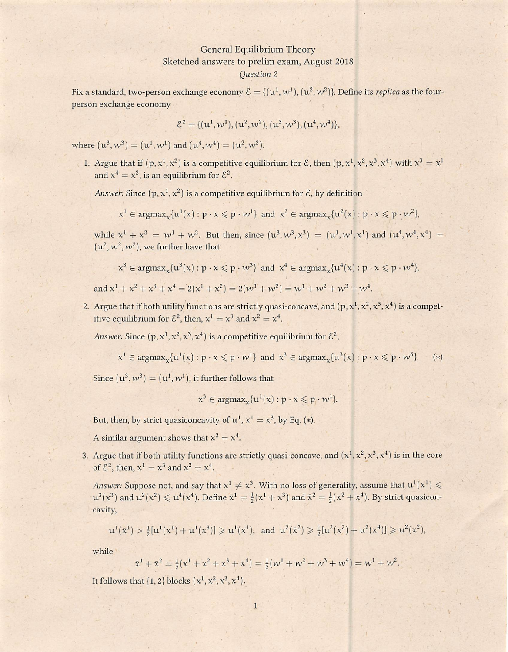## General Equilibrium Theory Sketched answers to prelim exam, August 2018 **Ouestion 2**

Fix a standard, two-person exchange economy  $\mathcal{E} = \{(\mathbf{u}^1, \mathbf{w}^1), (\mathbf{u}^2, \mathbf{w}^2)\}\)$ . Define its replica as the fourperson exchange economy

$$
\mathcal{E}^2 = \{ (u^1, w^1), (u^2, w^2), (u^3, w^3), (u^4, w^4) \},\
$$

where  $(u^3, w^3) = (u^1, w^1)$  and  $(u^4, w^4) = (u^2, w^2)$ .

1. Argue that if  $(p, x^1, x^2)$  is a competitive equilibrium for  $\mathcal{E}$ , then  $(p, x^1, x^2, x^3, x^4)$  with  $x^3 = x^1$ and  $x^4 = x^2$ , is an equilibrium for  $\mathcal{E}^2$ .

Answer: Since  $(p, x^1, x^2)$  is a competitive equilibrium for  $\mathcal{E}$ , by definition

$$
x^1 \in \text{argmax}_x \{u^1(x) : p \cdot x \leqslant p \cdot w^1\} \text{ and } x^2 \in \text{argmax}_x \{u^2(x) : p \cdot x \leqslant p \cdot w^2\},
$$

while  $x^1 + x^2 = w^1 + w^2$ . But then, since  $(u^3, w^3, x^3) = (u^1, w^1, x^1)$  and  $(u^4, w^4, x^4) =$  $(u^2, w^2, w^2)$ , we further have that

$$
x^3 \in \text{argmax}_x \{ u^3(x) : p \cdot x \leqslant p \cdot w^3 \} \text{ and } x^4 \in \text{argmax}_x \{ u^4(x) : p \cdot x \leqslant p \cdot w^4 \},
$$

and  $x^1 + x^2 + x^3 + x^4 = 2(x^1 + x^2) = 2(w^1 + w^2) = w^1 + w^2 + w^3 + w^4$ .

2. Argue that if both utility functions are strictly quasi-concave, and  $(p, x^1, x^2, x^3, x^4)$  is a competitive equilibrium for  $\mathcal{E}^2$ , then,  $x^1 = x^3$  and  $x^2 = x^4$ .

Answer: Since  $(p, x^1, x^2, x^3, x^4)$  is a competitive equilibrium for  $\mathcal{E}^2$ ,

$$
x^1 \in \text{argmax}_x \{u^1(x) : p \cdot x \leqslant p \cdot w^1\} \text{ and } x^3 \in \text{argmax}_x \{u^3(x) : p \cdot x \leqslant p \cdot w^3\}. \tag{*}
$$

Since  $(u^3, w^3) = (u^1, w^1)$ , it further follows that

$$
x^3 \in \text{argmax}_x \{u^1(x) : p \cdot x \leq p \cdot w^1\}.
$$

But, then, by strict quasiconcavity of  $u^1$ ,  $x^1 = x^3$ , by Eq. (\*).

A similar argument shows that  $x^2 = x^4$ .

3. Argue that if both utility functions are strictly quasi-concave, and  $(x^1, x^2, x^3, x^4)$  is in the core of  $\mathcal{E}^2$ , then,  $x^1 = x^3$  and  $x^2 = x^4$ .

Answer: Suppose not, and say that  $x^1 \neq x^3$ . With no loss of generality, assume that  $u^1(x^1) \leq$  $\mu^3(x^3)$  and  $\mu^2(x^2) \le \mu^4(x^4)$ . Define  $\bar{x}^1 = \frac{1}{2}(x^1 + x^3)$  and  $\bar{x}^2 = \frac{1}{2}(x^2 + x^4)$ . By strict quasiconcavity,

$$
u^1(\bar x^1) > \frac{1}{2}[u^1(x^1) + u^1(x^3)] \geq u^1(x^1), \text{ and } u^2(\bar x^2) \geq \frac{1}{2}[u^2(x^2) + u^2(x^4)] \geq u^2(x^2),
$$

while

$$
\bar{x}^1 + \bar{x}^2 = \frac{1}{2}(\bar{x}^1 + \bar{x}^2 + \bar{x}^3 + \bar{x}^4) = \frac{1}{2}(\bar{w}^1 + \bar{w}^2 + \bar{w}^3 + \bar{w}^4) = \bar{w}^1 + \bar{w}^2.
$$

It follows that  $\{1, 2\}$  blocks  $(x^1, x^2, x^3, x^4)$ .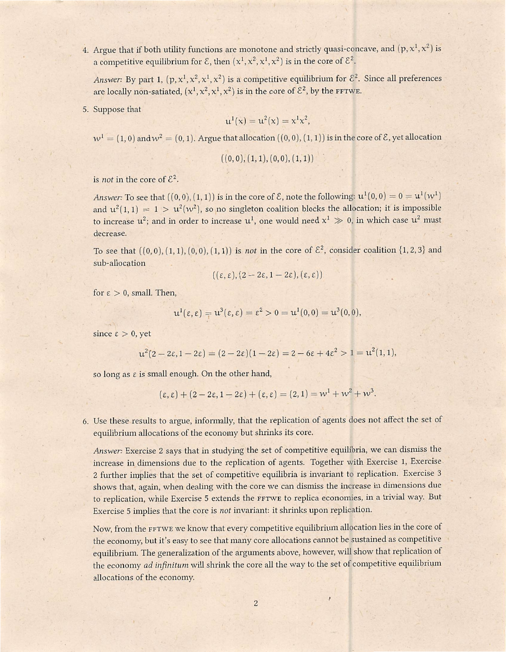4. Argue that if both utility functions are monotone and strictly quasi-concave, and  $(p, x^1, x^2)$  is a competitive equilibrium for  $\mathcal{E}$ , then  $(x^1, x^2, x^1, x^2)$  is in the core of  $\mathcal{E}^2$ .

Answer: By part 1,  $(p, x^1, x^2, x^1, x^2)$  is a competitive equilibrium for  $\mathcal{E}^2$ . Since all preferences are locally non-satiated,  $(x^1, x^2, x^1, x^2)$  is in the core of  $\mathcal{E}^2$ , by the FFTWE.

5. Suppose that

$$
u^{1}(x) = u^{2}(x) = x^{1}x^{2},
$$

 $w<sup>1</sup> = (1,0)$  and  $w<sup>2</sup> = (0,1)$ . Argue that allocation  $((0,0),(1,1))$  is in the core of  $\mathcal{E}$ , yet allocation

$$
((0,0),(1,1),(0,0),(1,1))
$$

is *not* in the core of  $\mathcal{E}^2$ .

Answer: To see that  $((0,0),(1,1))$  is in the core of  $\mathcal E$ , note the following:  $u^1(0,0) = 0 = u^1(w^1)$ and  $u^2(1, 1) = 1 > u^2(w^2)$ , so no singleton coalition blocks the allocation; it is impossible to increase  $u^2$ ; and in order to increase  $u^1$ , one would need  $x^1 \gg 0$ , in which case  $u^2$  must decrease.

To see that  $((0,0),(1,1),(0,0),(1,1))$  is not in the core of  $\mathcal{E}^2$ , consider coalition  $\{1,2,3\}$  and sub-allocation

$$
((\varepsilon, \varepsilon), (2-2\varepsilon, 1-2\varepsilon), (\varepsilon, \varepsilon))
$$

for  $\epsilon > 0$ , small. Then,

$$
u^1(\epsilon,\epsilon)=u^3(\epsilon,\epsilon)=\epsilon^2>0=u^1(0,0)=u^3(0,0),
$$

since  $\epsilon > 0$ , yet

$$
u^2(2-2\varepsilon, 1-2\varepsilon) = (2-2\varepsilon)(1-2\varepsilon) = 2-6\varepsilon + 4\varepsilon^2 > 1 = u^2(1,1),
$$

so long as  $\varepsilon$  is small enough. On the other hand,

$$
(\varepsilon, \varepsilon) + (2 - 2\varepsilon, 1 - 2\varepsilon) + (\varepsilon, \varepsilon) = (2, 1) = w1 + w2 + w3.
$$

6. Use these results to argue, informally, that the replication of agents does not affect the set of equilibrium allocations of the economy but shrinks its core.

Answer: Exercise 2 says that in studying the set of competitive equilibria, we can dismiss the increase in dimensions due to the replication of agents. Together with Exercise 1, Exercise 2 further implies that the set of competitive equilibria is invariant to replication. Exercise 3 shows that, again, when dealing with the core we can dismiss the increase in dimensions due to replication, while Exercise 5 extends the FFTWE to replica economies, in a trivial way. But Exercise 5 implies that the core is not invariant: it shrinks upon replication.

Now, from the FFTWE we know that every competitive equilibrium allocation lies in the core of the economy, but it's easy to see that many core allocations cannot be sustained as competitive equilibrium. The generalization of the arguments above, however, will show that replication of the economy ad infinitum will shrink the core all the way to the set of competitive equilibrium allocations of the economy.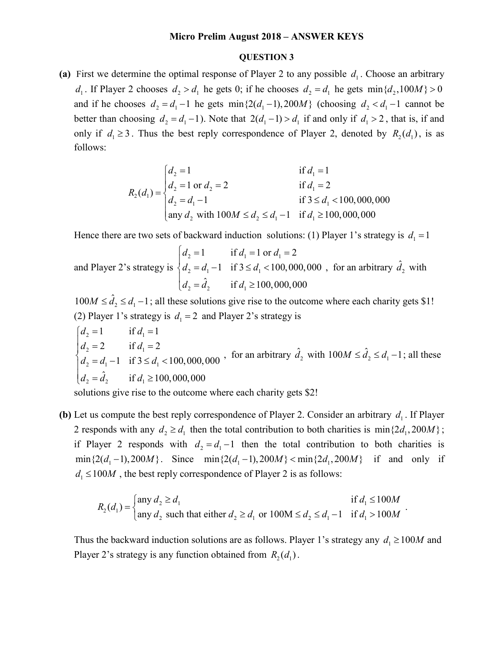## **Micro Prelim August 2018 – ANSWER KEYS**

## **QUESTION 3**

(a) First we determine the optimal response of Player 2 to any possible  $d_1$ . Choose an arbitrary  $d_1$ . If Player 2 chooses  $d_2 > d_1$  he gets 0; if he chooses  $d_2 = d_1$  he gets min $\{d_2, 100M\} > 0$ and if he chooses  $d_2 = d_1 - 1$  he gets min $\{2(d_1 - 1), 200M\}$  (choosing  $d_2 < d_1 - 1$  cannot be better than choosing  $d_2 = d_1 - 1$ . Note that  $2(d_1 - 1) > d_1$  if and only if  $d_1 > 2$ , that is, if and only if  $d_1 \ge 3$ . Thus the best reply correspondence of Player 2, denoted by  $R_2(d_1)$ , is as follows:

$$
R_2(d_1) = \begin{cases} d_2 = 1 & \text{if } d_1 = 1 \\ d_2 = 1 \text{ or } d_2 = 2 & \text{if } d_1 = 2 \\ d_2 = d_1 - 1 & \text{if } 3 \le d_1 < 100,000,000 \\ \text{any } d_2 \text{ with } 100M \le d_2 \le d_1 - 1 & \text{if } d_1 \ge 100,000,000 \end{cases}
$$

Hence there are two sets of backward induction solutions: (1) Player 1's strategy is  $d_1 = 1$ 

and Player 2's strategy is  $2 - 1$   $\mathbf{u}_1 - \mathbf{v}_1 \mathbf{u}_1$  $2 - u_1$  1  $1 \tIm z \rightrightarrows u_1$  $d_2 = \hat{d}_2$  if  $d_1 \ge 100,000,000$ 1 if  $d_1 = 1$  or  $d_1 = 2$ 1 if  $3 \le d_1 < 100,000,000$  $d_2 = 1$  if  $d_1 = 1$  or d  $d_2 = d_1 - 1$  if  $3 \le d$  $d_2 = 1$  if  $d_1 = 1$  or  $d_1 =$  $\begin{cases} d_2 = d_1 - 1 & \text{if } 3 \le d_1 < 100,000,000, \text{ for an arbitrary } \hat{d}_2 \text{ with } \end{cases}$ 

 $100M \leq \hat{d}_2 \leq d_1 - 1$ ; all these solutions give rise to the outcome where each charity gets \$1! (2) Player 1's strategy is  $d_1 = 2$  and Player 2's strategy is

 $2^{1}$   $\mathbf{u}_1$  $2 - 2$  11  $u_1$  $2 - u_1$  1  $1 \tImes u_1$  $d_2 = \hat{d}_2$  if  $d_1 \ge 100,000,000$ 1 if  $d_1 = 1$ 2 if  $d_1 = 2$ 1 if  $3 \le d_1 < 100,000,000$  $d_2 = 1$  if d  $d_2 = 2$  if d  $d_2 = d_1 - 1$  if  $3 \le d$  $d_2 = 1$  if  $d_1 =$  $d_2 = 2$  if  $d_1 =$  $\begin{cases} d_2 = d_1 - 1 & \text{if } 3 \leq d_1 < \end{cases}$  $\overline{1}$ , for an arbitrary  $\hat{d}_2$  with  $100M \leq \hat{d}_2 \leq d_1 - 1$ ; all these

solutions give rise to the outcome where each charity gets \$2!

**(b)** Let us compute the best reply correspondence of Player 2. Consider an arbitrary  $d_1$ . If Player 2 responds with any  $d_2 \ge d_1$  then the total contribution to both charities is min $\{2d_1, 200M\}$ ; if Player 2 responds with  $d_2 = d_1 - 1$  then the total contribution to both charities is  $\min\{2(d_1-1),200M\}$ . Since  $\min\{2(d_1-1),200M\}$  -  $\min\{2d_1,200M\}$  if and only if  $d_1 \le 100 M$ , the best reply correspondence of Player 2 is as follows:

$$
R_2(d_1) = \begin{cases} \n\text{any } d_2 \ge d_1 & \text{if } d_1 \le 100M \\ \n\text{any } d_2 \text{ such that either } d_2 \ge d_1 \text{ or } 100M \le d_2 \le d_1 - 1 & \text{if } d_1 > 100M \n\end{cases}
$$

Thus the backward induction solutions are as follows. Player 1's strategy any  $d_1 \ge 100M$  and Player 2's strategy is any function obtained from  $R_2(d_1)$ .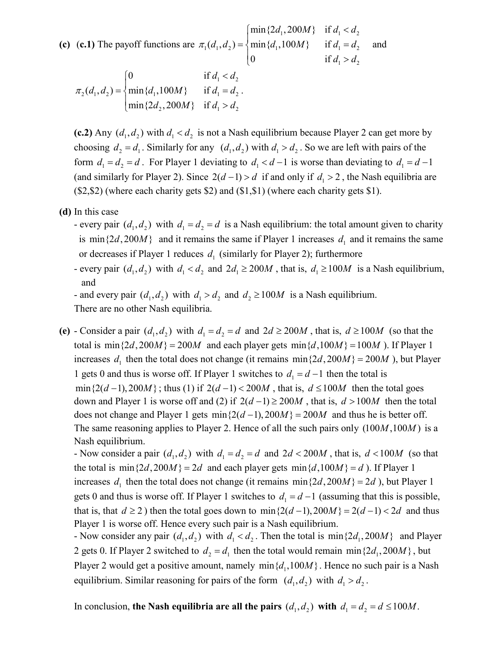**(c)** (c.1) The payoff functions are  $\pi_1(d_1, d_2) = \{ \min\{d_1, 100M\} \text{ if } d_1 = d_2 \}$  $\min\{2d_1, 200M\}$  if  $d_1 < d_2$  $1 - u_2$  $(d_1, d_2) = \{ \min\{d_1, 100M\} \text{ if }$  $0$  if  $d_1, d_2$  =  $\{ \min\{d_1, 100M\} \text{ if } d_1 = d \}$  $d_1 > d$  $\pi_1(d_1, d_2) = \begin{cases} \min\{2d_1, 200M\} & \text{if } d_1 < \end{cases}$ <br> $\pi_1(d_1, d_2) = \begin{cases} \min\{d_1, 100M\} & \text{if } d_1 = \end{cases}$  $\begin{cases} 0 & \text{if } d_1 > \end{cases}$ and

 $1 - u_2$  $2(u_1, u_2)$  -  $\lim_{l} (u_1, 100m)$   $\lim_{l} u_1 - u_2$ 2, 200 $m<sub>1</sub>$  11  $u<sub>1</sub>$  2  $u<sub>2</sub>$  $0$  if  $(d_1, d_2) = \{ \min\{d_1, 100M\} \text{ if }$  $\min\{2d_2, 200M\}$  if  $d_1 < d$  $d_1, d_2$  =  $\{ \min\{d_1, 100M\} \text{ if } d_1 = d \}$  $d_2$ , 200*M*} if  $d_1 > d$  $\pi_2(d_1, d_2) = \begin{cases} 0 & \text{if } d_1 < n \\ \min\{d_1, 100M\} & \text{if } d_1 = n \end{cases}$  $\left[\min\{2d_2, 200M\}\right]$  if  $d_1 >$ .

(c.2) Any  $(d_1, d_2)$  with  $d_1 < d_2$  is not a Nash equilibrium because Player 2 can get more by choosing  $d_2 = d_1$ . Similarly for any  $(d_1, d_2)$  with  $d_1 > d_2$ . So we are left with pairs of the form  $d_1 = d_2 = d$ . For Player 1 deviating to  $d_1 < d-1$  is worse than deviating to  $d_1 = d-1$ (and similarly for Player 2). Since  $2(d-1) > d$  if and only if  $d_1 > 2$ , the Nash equilibria are  $(\$2, \$2)$  (where each charity gets  $\$2)$  and  $(\$1, \$1)$  (where each charity gets  $\$1)$ .

- **(d)** In this case
	- every pair  $(d_1, d_2)$  with  $d_1 = d_2 = d$  is a Nash equilibrium: the total amount given to charity is min $\{2d, 200M\}$  and it remains the same if Player 1 increases  $d_1$  and it remains the same or decreases if Player 1 reduces  $d_1$  (similarly for Player 2); furthermore
	- every pair  $(d_1, d_2)$  with  $d_1 < d_2$  and  $2d_1 \ge 200M$ , that is,  $d_1 \ge 100M$  is a Nash equilibrium, and

- and every pair  $(d_1, d_2)$  with  $d_1 > d_2$  and  $d_2 \ge 100M$  is a Nash equilibrium.

There are no other Nash equilibria.

(e) - Consider a pair  $(d_1, d_2)$  with  $d_1 = d_2 = d$  and  $2d \ge 200M$ , that is,  $d \ge 100M$  (so that the total is min $\{2d, 200M\} = 200M$  and each player gets min $\{d, 100M\} = 100M$  ). If Player 1 increases  $d_1$  then the total does not change (it remains min $\{2d, 200M\} = 200M$ ), but Player 1 gets 0 and thus is worse off. If Player 1 switches to  $d_1 = d - 1$  then the total is  $\min\{2(d-1), 200M\}$ ; thus (1) if  $2(d-1) < 200M$ , that is,  $d \le 100M$  then the total goes down and Player 1 is worse off and (2) if  $2(d-1) \ge 200M$ , that is,  $d > 100M$  then the total does not change and Player 1 gets  $\min\{2(d-1), 200M\} = 200M$  and thus he is better off. The same reasoning applies to Player 2. Hence of all the such pairs only  $(100M, 100M)$  is a Nash equilibrium.

- Now consider a pair  $(d_1, d_2)$  with  $d_1 = d_2 = d$  and  $2d < 200M$ , that is,  $d < 100M$  (so that the total is min $\{2d, 200M\} = 2d$  and each player gets min $\{d, 100M\} = d$ ). If Player 1 increases  $d_1$  then the total does not change (it remains min $\{2d, 200M\} = 2d$ ), but Player 1 gets 0 and thus is worse off. If Player 1 switches to  $d_1 = d - 1$  (assuming that this is possible, that is, that  $d \ge 2$ ) then the total goes down to min $\{2(d-1), 200M\} = 2(d-1) < 2d$  and thus Player 1 is worse off. Hence every such pair is a Nash equilibrium.

- Now consider any pair  $(d_1, d_2)$  with  $d_1 < d_2$ . Then the total is min $\{2d_1, 200M\}$  and Player 2 gets 0. If Player 2 switched to  $d_2 = d_1$  then the total would remain min $\{2d_1, 200M\}$ , but Player 2 would get a positive amount, namely min $\{d_1, 100M\}$ . Hence no such pair is a Nash equilibrium. Similar reasoning for pairs of the form  $(d_1, d_2)$  with  $d_1 > d_2$ .

In conclusion, the Nash equilibria are all the pairs  $(d_1, d_2)$  with  $d_1 = d_2 = d \le 100M$ .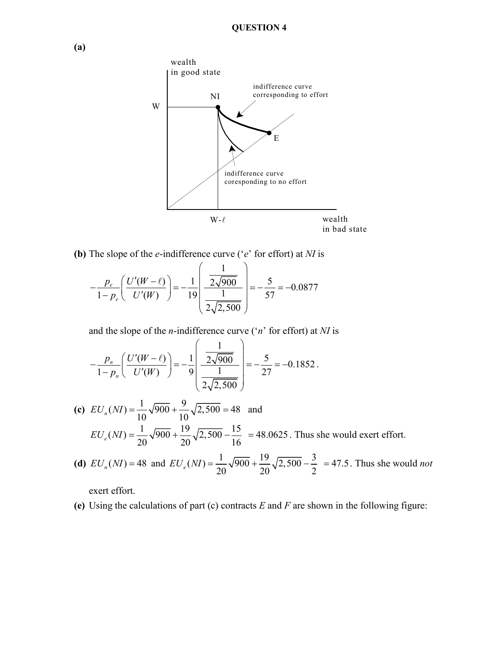

**(b)** The slope of the *e*-indifference curve ('*e*' for effort) at *NI* is

$$
-\frac{p_e}{1-p_e} \left( \frac{U'(W-\ell)}{U'(W)} \right) = -\frac{1}{19} \left( \frac{\frac{1}{2\sqrt{900}}}{\frac{1}{2\sqrt{2,500}}} \right) = -\frac{5}{57} = -0.0877
$$

and the slope of the *n*-indifference curve ('*n*' for effort) at *NI* is

$$
-\frac{p_n}{1-p_n}\left(\frac{U'(W-\ell)}{U'(W)}\right)=-\frac{1}{9}\left(\frac{\frac{1}{2\sqrt{900}}}{\frac{1}{2\sqrt{2,500}}}\right)=-\frac{5}{27}=-0.1852.
$$

- **(c)**  $EU_n(NI) = \frac{1}{10} \sqrt{900} + \frac{9}{10} \sqrt{2,500} = 48$  and  $EU_e(NI) = \frac{1}{20} \sqrt{900} + \frac{19}{20} \sqrt{2,500} - \frac{15}{16}$  = 48.0625. Thus she would exert effort.
- **(d)**  $EU_n(NI) = 48$  and  $EU_e(NI) = \frac{1}{20}\sqrt{900} + \frac{19}{20}\sqrt{2,500} \frac{3}{2} = 47.5$ . Thus she would *not*

exert effort.

**(e)** Using the calculations of part (c) contracts *E* and *F* are shown in the following figure: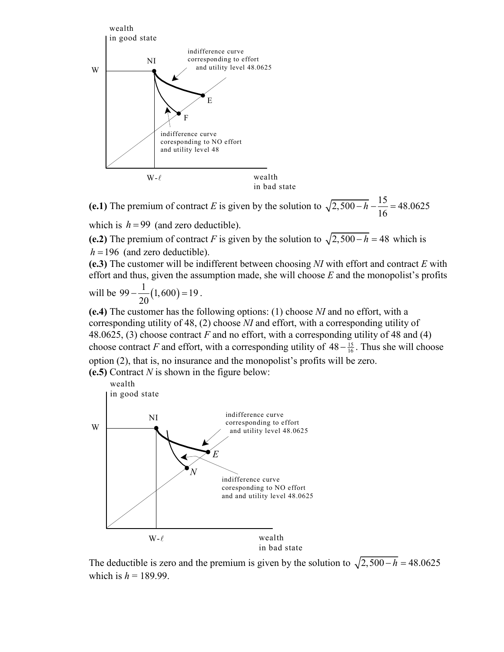

(e.1) The premium of contract *E* is given by the solution to  $\sqrt{2,500 - h} - \frac{15}{16} = 48.0625$ which is  $h = 99$  (and zero deductible).

(e.2) The premium of contract *F* is given by the solution to  $\sqrt{2,500 - h} = 48$  which is  $h = 196$  (and zero deductible).

**(e.3)** The customer will be indifferent between choosing *NI* with effort and contract *E* with effort and thus, given the assumption made, she will choose *E* and the monopolist's profits

will be  $99 - \frac{1}{20} (1,600) = 19$ .

**(e.4)** The customer has the following options: (1) choose *NI* and no effort, with a corresponding utility of 48, (2) choose *NI* and effort, with a corresponding utility of 48.0625, (3) choose contract *F* and no effort, with a corresponding utility of 48 and (4) choose contract *F* and effort, with a corresponding utility of  $48 - \frac{15}{16}$ . Thus she will choose option (2), that is, no insurance and the monopolist's profits will be zero.

**(e.5)** Contract *N* is shown in the figure below:



The deductible is zero and the premium is given by the solution to  $\sqrt{2,500 - h} = 48.0625$ which is  $h = 189.99$ .